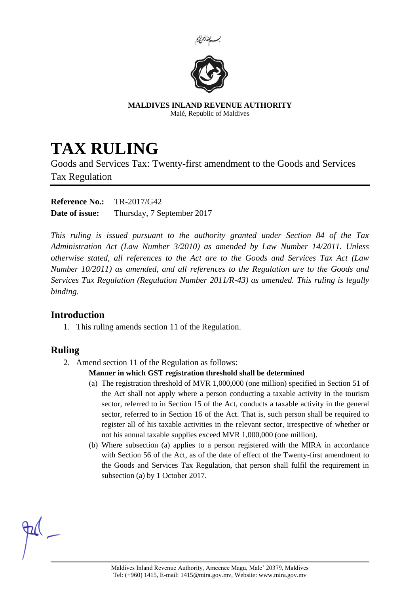



**MALDIVES INLAND REVENUE AUTHORITY** Malé, Republic of Maldives

# **TAX RULING**

Goods and Services Tax: Twenty-first amendment to the Goods and Services Tax Regulation

**Reference No.:** TR-2017/G42 **Date of issue:** Thursday, 7 September 2017

*This ruling is issued pursuant to the authority granted under Section 84 of the Tax Administration Act (Law Number 3/2010) as amended by Law Number 14/2011. Unless otherwise stated, all references to the Act are to the Goods and Services Tax Act (Law Number 10/2011) as amended, and all references to the Regulation are to the Goods and Services Tax Regulation (Regulation Number 2011/R-43) as amended. This ruling is legally binding.*

## **Introduction**

1. This ruling amends section 11 of the Regulation.

## **Ruling**

2. Amend section 11 of the Regulation as follows:

### **Manner in which GST registration threshold shall be determined**

- (a) The registration threshold of MVR 1,000,000 (one million) specified in Section 51 of the Act shall not apply where a person conducting a taxable activity in the tourism sector, referred to in Section 15 of the Act, conducts a taxable activity in the general sector, referred to in Section 16 of the Act. That is, such person shall be required to register all of his taxable activities in the relevant sector, irrespective of whether or not his annual taxable supplies exceed MVR 1,000,000 (one million).
- (b) Where subsection (a) applies to a person registered with the MIRA in accordance with Section 56 of the Act, as of the date of effect of the Twenty-first amendment to the Goods and Services Tax Regulation, that person shall fulfil the requirement in subsection (a) by 1 October 2017.

Maldives Inland Revenue Authority, Ameenee Magu, Male' 20379, Maldives Tel: (+960) 1415, E-mail: 1415@mira.gov.mv, Website: www.mira.gov.mv